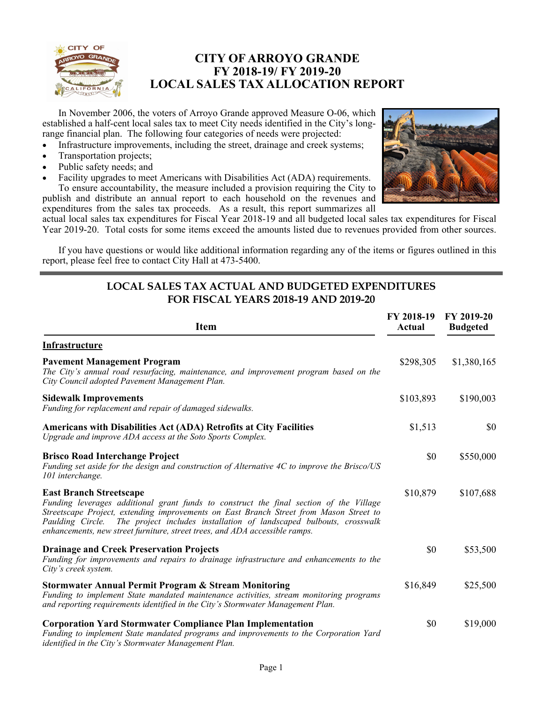

## **CITY OF ARROYO GRANDE FY 2018-19/ FY 2019-20 LOCAL SALES TAX ALLOCATION REPORT**

 In November 2006, the voters of Arroyo Grande approved Measure O-06, which established a half-cent local sales tax to meet City needs identified in the City's longrange financial plan. The following four categories of needs were projected:

- Infrastructure improvements, including the street, drainage and creek systems;
- Transportation projects;
- Public safety needs; and
- Facility upgrades to meet Americans with Disabilities Act (ADA) requirements. To ensure accountability, the measure included a provision requiring the City to publish and distribute an annual report to each household on the revenues and expenditures from the sales tax proceeds. As a result, this report summarizes all



actual local sales tax expenditures for Fiscal Year 2018-19 and all budgeted local sales tax expenditures for Fiscal Year 2019-20. Total costs for some items exceed the amounts listed due to revenues provided from other sources.

 If you have questions or would like additional information regarding any of the items or figures outlined in this report, please feel free to contact City Hall at 473-5400.

### **LOCAL SALES TAX ACTUAL AND BUDGETED EXPENDITURES FOR FISCAL YEARS 2018-19 AND 2019-20**

| <b>Item</b>                                                                                                                                                                                                                                                                                                                                                                               | FY 2018-19<br>Actual | FY 2019-20<br><b>Budgeted</b> |
|-------------------------------------------------------------------------------------------------------------------------------------------------------------------------------------------------------------------------------------------------------------------------------------------------------------------------------------------------------------------------------------------|----------------------|-------------------------------|
| Infrastructure                                                                                                                                                                                                                                                                                                                                                                            |                      |                               |
| <b>Pavement Management Program</b><br>The City's annual road resurfacing, maintenance, and improvement program based on the<br>City Council adopted Pavement Management Plan.                                                                                                                                                                                                             | \$298,305            | \$1,380,165                   |
| <b>Sidewalk Improvements</b><br>Funding for replacement and repair of damaged sidewalks.                                                                                                                                                                                                                                                                                                  | \$103,893            | \$190,003                     |
| Americans with Disabilities Act (ADA) Retrofits at City Facilities<br>Upgrade and improve ADA access at the Soto Sports Complex.                                                                                                                                                                                                                                                          | \$1,513              | \$0                           |
| <b>Brisco Road Interchange Project</b><br>Funding set aside for the design and construction of Alternative 4C to improve the Brisco/US<br>101 interchange.                                                                                                                                                                                                                                | \$0                  | \$550,000                     |
| <b>East Branch Streetscape</b><br>Funding leverages additional grant funds to construct the final section of the Village<br>Streetscape Project, extending improvements on East Branch Street from Mason Street to<br>Paulding Circle. The project includes installation of landscaped bulbouts, crosswalk<br>enhancements, new street furniture, street trees, and ADA accessible ramps. | \$10,879             | \$107,688                     |
| <b>Drainage and Creek Preservation Projects</b><br>Funding for improvements and repairs to drainage infrastructure and enhancements to the<br>City's creek system.                                                                                                                                                                                                                        | \$0                  | \$53,500                      |
| <b>Stormwater Annual Permit Program &amp; Stream Monitoring</b><br>Funding to implement State mandated maintenance activities, stream monitoring programs<br>and reporting requirements identified in the City's Stormwater Management Plan.                                                                                                                                              | \$16,849             | \$25,500                      |
| <b>Corporation Yard Stormwater Compliance Plan Implementation</b><br>Funding to implement State mandated programs and improvements to the Corporation Yard<br>identified in the City's Stormwater Management Plan.                                                                                                                                                                        | \$0                  | \$19,000                      |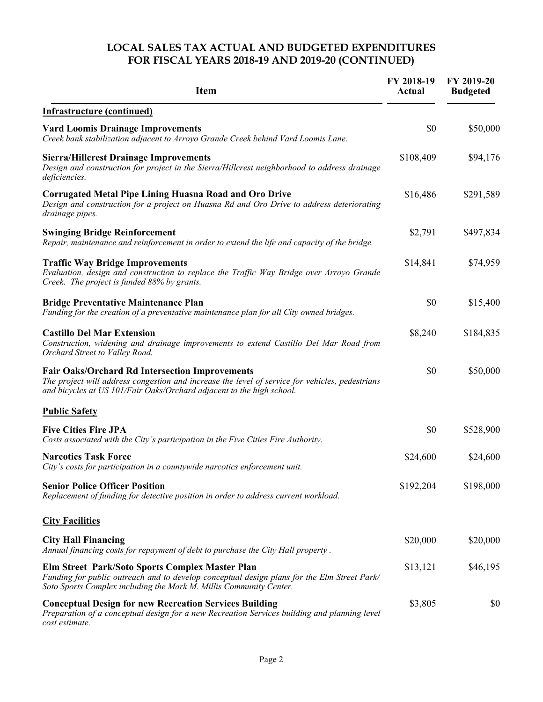### **LOCAL SALES TAX ACTUAL AND BUDGETED EXPENDITURES FOR FISCAL YEARS 2018-19 AND 2019-20 (CONTINUED)**

| <b>Item</b>                                                                                                                                                                                                                       | FY 2018-19<br><b>Actual</b> | FY 2019-20<br><b>Budgeted</b> |
|-----------------------------------------------------------------------------------------------------------------------------------------------------------------------------------------------------------------------------------|-----------------------------|-------------------------------|
| <b>Infrastructure (continued)</b>                                                                                                                                                                                                 |                             |                               |
| <b>Vard Loomis Drainage Improvements</b><br>Creek bank stabilization adjacent to Arroyo Grande Creek behind Vard Loomis Lane.                                                                                                     | \$0                         | \$50,000                      |
| <b>Sierra/Hillcrest Drainage Improvements</b><br>Design and construction for project in the Sierra/Hillcrest neighborhood to address drainage<br>deficiencies.                                                                    | \$108,409                   | \$94,176                      |
| <b>Corrugated Metal Pipe Lining Huasna Road and Oro Drive</b><br>Design and construction for a project on Huasna Rd and Oro Drive to address deteriorating<br>drainage pipes.                                                     | \$16,486                    | \$291,589                     |
| <b>Swinging Bridge Reinforcement</b><br>Repair, maintenance and reinforcement in order to extend the life and capacity of the bridge.                                                                                             | \$2,791                     | \$497,834                     |
| <b>Traffic Way Bridge Improvements</b><br>Evaluation, design and construction to replace the Traffic Way Bridge over Arroyo Grande<br>Creek. The project is funded 88% by grants.                                                 | \$14,841                    | \$74,959                      |
| <b>Bridge Preventative Maintenance Plan</b><br>Funding for the creation of a preventative maintenance plan for all City owned bridges.                                                                                            | \$0                         | \$15,400                      |
| <b>Castillo Del Mar Extension</b><br>Construction, widening and drainage improvements to extend Castillo Del Mar Road from<br>Orchard Street to Valley Road.                                                                      | \$8,240                     | \$184,835                     |
| <b>Fair Oaks/Orchard Rd Intersection Improvements</b><br>The project will address congestion and increase the level of service for vehicles, pedestrians<br>and bicycles at US 101/Fair Oaks/Orchard adjacent to the high school. | \$0                         | \$50,000                      |
| <b>Public Safety</b>                                                                                                                                                                                                              |                             |                               |
| <b>Five Cities Fire JPA</b><br>Costs associated with the City's participation in the Five Cities Fire Authority.                                                                                                                  | \$0                         | \$528,900                     |
| <b>Narcotics Task Force</b><br>City's costs for participation in a countywide narcotics enforcement unit.                                                                                                                         | \$24,600                    | \$24,600                      |
| <b>Senior Police Officer Position</b><br>Replacement of funding for detective position in order to address current workload.                                                                                                      | \$192,204                   | \$198,000                     |
| <b>City Facilities</b>                                                                                                                                                                                                            |                             |                               |
| <b>City Hall Financing</b><br>Annual financing costs for repayment of debt to purchase the City Hall property.                                                                                                                    | \$20,000                    | \$20,000                      |
| Elm Street Park/Soto Sports Complex Master Plan<br>Funding for public outreach and to develop conceptual design plans for the Elm Street Park/<br>Soto Sports Complex including the Mark M. Millis Community Center.              | \$13,121                    | \$46,195                      |
| <b>Conceptual Design for new Recreation Services Building</b><br>Preparation of a conceptual design for a new Recreation Services building and planning level<br>cost estimate.                                                   | \$3,805                     | \$0                           |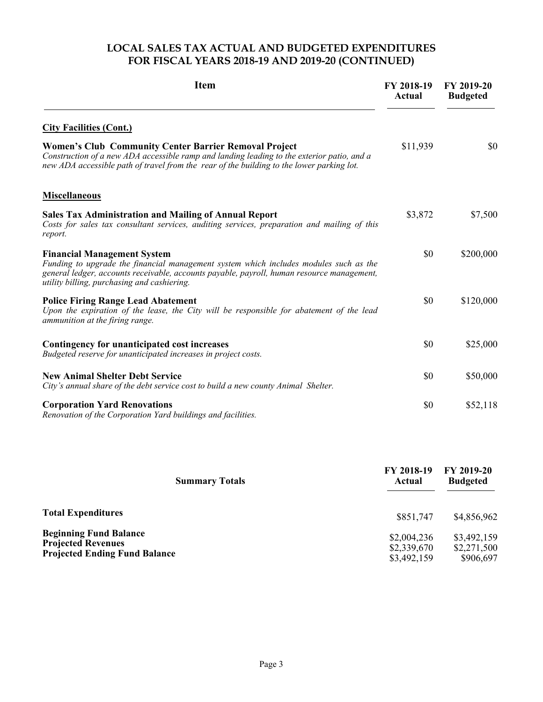### **LOCAL SALES TAX ACTUAL AND BUDGETED EXPENDITURES FOR FISCAL YEARS 2018-19 AND 2019-20 (CONTINUED)**

| <b>Item</b>                                                                                                                                                                                                                                                              | FY 2018-19<br>Actual | FY 2019-20<br><b>Budgeted</b> |
|--------------------------------------------------------------------------------------------------------------------------------------------------------------------------------------------------------------------------------------------------------------------------|----------------------|-------------------------------|
| <b>City Facilities (Cont.)</b>                                                                                                                                                                                                                                           |                      |                               |
| <b>Women's Club Community Center Barrier Removal Project</b><br>Construction of a new ADA accessible ramp and landing leading to the exterior patio, and a<br>new ADA accessible path of travel from the rear of the building to the lower parking lot.                  | \$11,939             | \$0                           |
| <b>Miscellaneous</b>                                                                                                                                                                                                                                                     |                      |                               |
| <b>Sales Tax Administration and Mailing of Annual Report</b><br>Costs for sales tax consultant services, auditing services, preparation and mailing of this<br>report.                                                                                                   | \$3,872              | \$7,500                       |
| <b>Financial Management System</b><br>Funding to upgrade the financial management system which includes modules such as the<br>general ledger, accounts receivable, accounts payable, payroll, human resource management,<br>utility billing, purchasing and cashiering. | \$0                  | \$200,000                     |
| <b>Police Firing Range Lead Abatement</b><br>Upon the expiration of the lease, the City will be responsible for abatement of the lead<br>ammunition at the firing range.                                                                                                 | \$0                  | \$120,000                     |
| Contingency for unanticipated cost increases<br>Budgeted reserve for unanticipated increases in project costs.                                                                                                                                                           | \$0                  | \$25,000                      |
| <b>New Animal Shelter Debt Service</b><br>City's annual share of the debt service cost to build a new county Animal Shelter.                                                                                                                                             | \$0                  | \$50,000                      |
| <b>Corporation Yard Renovations</b><br>Renovation of the Corporation Yard buildings and facilities.                                                                                                                                                                      | \$0                  | \$52,118                      |

| <b>Summary Totals</b>                                                                              | <b>FY 2018-19</b><br>Actual               | FY 2019-20<br><b>Budgeted</b>           |
|----------------------------------------------------------------------------------------------------|-------------------------------------------|-----------------------------------------|
| <b>Total Expenditures</b>                                                                          | \$851,747                                 | \$4,856,962                             |
| <b>Beginning Fund Balance</b><br><b>Projected Revenues</b><br><b>Projected Ending Fund Balance</b> | \$2,004,236<br>\$2,339,670<br>\$3,492,159 | \$3,492,159<br>\$2,271,500<br>\$906,697 |